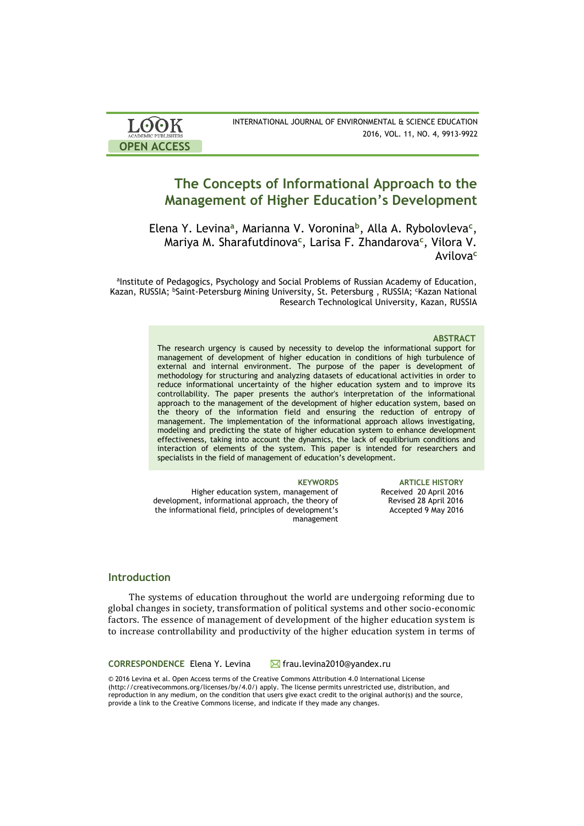| <b>LOOK</b>                | INTERNATIONAL JOURNAL OF ENVIRONMENTAL & SCIENCE EDUCATION |
|----------------------------|------------------------------------------------------------|
| <b>ACADEMIC PUBLISHERS</b> | 2016, VOL. 11, NO. 4, 9913-9922                            |
| <b>OPEN ACCESS</b>         |                                                            |

# **The Concepts of Informational Approach to the Management of Higher Education's Development**

Elena Y. Levina**<sup>a</sup>** , Marianna V. Voronina**<sup>b</sup>** , Alla A. Rybolovleva**<sup>c</sup>** , Mariya M. Sharafutdinova**<sup>c</sup>** , Larisa F. Zhandarova**<sup>c</sup>** , Vilora V. Avilova**<sup>c</sup>**

alnstitute of Pedagogics, Psychology and Social Problems of Russian Academy of Education, Kazan, RUSSIA; <sup>b</sup>Saint-Petersburg Mining University, St. Petersburg, RUSSIA; <sup>c</sup>Kazan National Research Technological University, Kazan, RUSSIA

### **ABSTRACT**

The research urgency is caused by necessity to develop the informational support for management of development of higher education in conditions of high turbulence of external and internal environment. The purpose of the paper is development of methodology for structuring and analyzing datasets of educational activities in order to reduce informational uncertainty of the higher education system and to improve its controllability. The paper presents the author's interpretation of the informational approach to the management of the development of higher education system, based on the theory of the information field and ensuring the reduction of entropy of management. The implementation of the informational approach allows investigating, modeling and predicting the state of higher education system to enhance development effectiveness, taking into account the dynamics, the lack of equilibrium conditions and interaction of elements of the system. This paper is intended for researchers and specialists in the field of management of education's development.

Higher education system, management of development, informational approach, the theory of the informational field, principles of development's management

**KEYWORDS ARTICLE HISTORY** Received 20 April 2016 Revised 28 April 2016 Accepted 9 May 2016

## **Introduction**

The systems of education throughout the world are undergoing reforming due to global changes in society, transformation of political systems and other socio-economic factors. The essence of management of development of the higher education system is to increase controllability and productivity of the higher education system in terms of

**CORRESPONDENCE** Elena Y. Levina Marial frau.levina2010@yandex.ru

© 2016 Levina et al. Open Access terms of the Creative Commons Attribution 4.0 International License (http://creativecommons.org/licenses/by/4.0/) apply. The license permits unrestricted use, distribution, and reproduction in any medium, on the condition that users give exact credit to the original author(s) and the source, provide a link to the Creative Commons license, and indicate if they made any changes.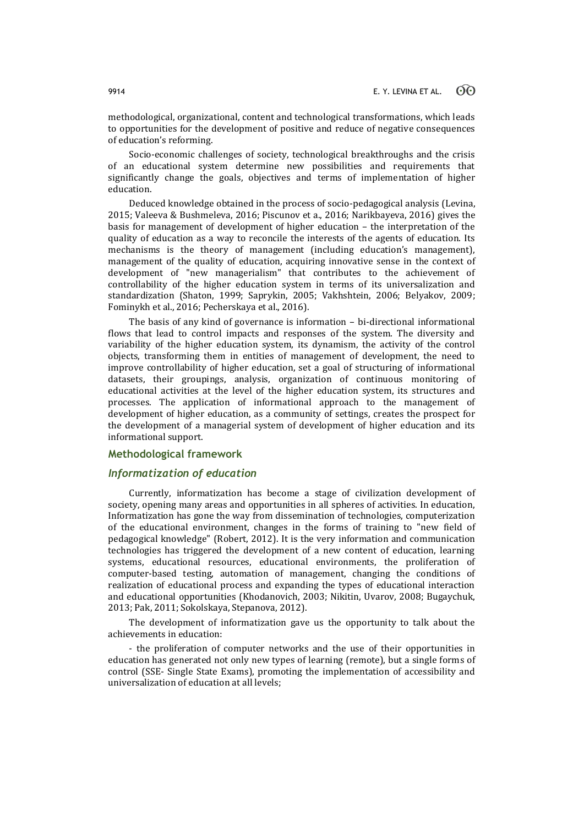methodological, organizational, content and technological transformations, which leads to opportunities for the development of positive and reduce of negative consequences of education's reforming.

Socio-economic challenges of society, technological breakthroughs and the crisis of an educational system determine new possibilities and requirements that significantly change the goals, objectives and terms of implementation of higher education.

Deduced knowledge obtained in the process of socio-pedagogical analysis (Levina, 2015; Valeeva & Bushmeleva, 2016; Piscunov et a., 2016; Narikbayeva, 2016) gives the basis for management of development of higher education – the interpretation of the quality of education as a way to reconcile the interests of the agents of education. Its mechanisms is the theory of management (including education's management), management of the quality of education, acquiring innovative sense in the context of development of "new managerialism" that contributes to the achievement of controllability of the higher education system in terms of its universalization and standardization (Shaton, 1999; Saprykin, 2005; Vakhshtein, 2006; Belyakov, 2009; Fominykh et al., 2016; Pecherskaya et al., 2016).

The basis of any kind of governance is information – bi-directional informational flows that lead to control impacts and responses of the system. The diversity and variability of the higher education system, its dynamism, the activity of the control objects, transforming them in entities of management of development, the need to improve controllability of higher education, set a goal of structuring of informational datasets, their groupings, analysis, organization of continuous monitoring of educational activities at the level of the higher education system, its structures and processes. The application of informational approach to the management of development of higher education, as a community of settings, creates the prospect for the development of a managerial system of development of higher education and its informational support.

### **Methodological framework**

### *Informatization of education*

Currently, informatization has become a stage of civilization development of society, opening many areas and opportunities in all spheres of activities. In education, Informatization has gone the way from dissemination of technologies, computerization of the educational environment, changes in the forms of training to "new field of pedagogical knowledge" (Robert, 2012). It is the very information and communication technologies has triggered the development of a new content of education, learning systems, educational resources, educational environments, the proliferation of computer-based testing, automation of management, changing the conditions of realization of educational process and expanding the types of educational interaction and educational opportunities (Khodanovich, 2003; Nikitin, Uvarov, 2008; Bugaychuk, 2013; Pak, 2011; Sokolskaya, Stepanova, 2012).

The development of informatization gave us the opportunity to talk about the achievements in education:

- the proliferation of computer networks and the use of their opportunities in education has generated not only new types of learning (remote), but a single forms of control (SSE- Single State Exams), promoting the implementation of accessibility and universalization of education at all levels;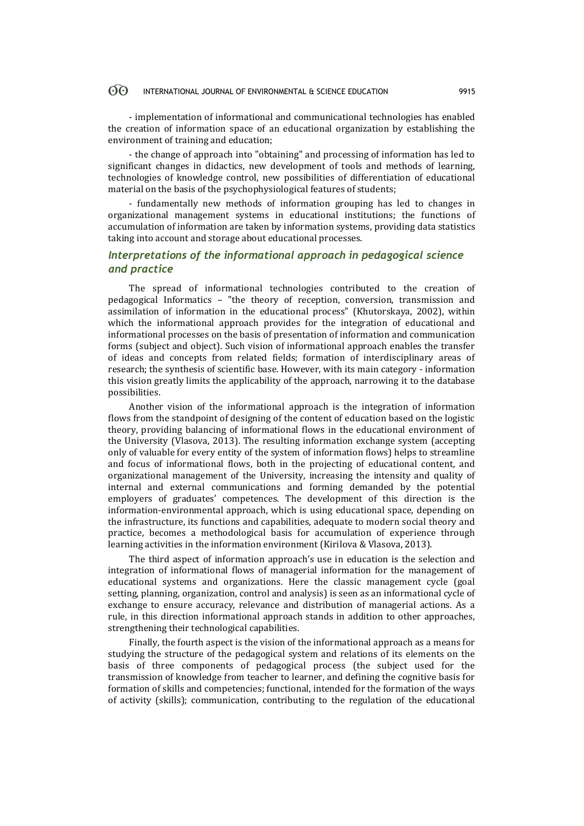#### $\odot$ INTERNATIONAL JOURNAL OF ENVIRONMENTAL & SCIENCE EDUCATION 9915

- implementation of informational and communicational technologies has enabled the creation of information space of an educational organization by establishing the environment of training and education;

- the change of approach into "obtaining" and processing of information has led to significant changes in didactics, new development of tools and methods of learning, technologies of knowledge control, new possibilities of differentiation of educational material on the basis of the psychophysiological features of students;

- fundamentally new methods of information grouping has led to changes in organizational management systems in educational institutions; the functions of accumulation of information are taken by information systems, providing data statistics taking into account and storage about educational processes.

# *Interpretations of the informational approach in pedagogical science and practice*

The spread of informational technologies contributed to the creation of pedagogical Informatics – "the theory of reception, conversion, transmission and assimilation of information in the educational process" (Khutorskaya, 2002), within which the informational approach provides for the integration of educational and informational processes on the basis of presentation of information and communication forms (subject and object). Such vision of informational approach enables the transfer of ideas and concepts from related fields; formation of interdisciplinary areas of research; the synthesis of scientific base. However, with its main category - information this vision greatly limits the applicability of the approach, narrowing it to the database possibilities.

Another vision of the informational approach is the integration of information flows from the standpoint of designing of the content of education based on the logistic theory, providing balancing of informational flows in the educational environment of the University (Vlasova, 2013). The resulting information exchange system (accepting only of valuable for every entity of the system of information flows) helps to streamline and focus of informational flows, both in the projecting of educational content, and organizational management of the University, increasing the intensity and quality of internal and external communications and forming demanded by the potential employers of graduates' competences. The development of this direction is the information-environmental approach, which is using educational space, depending on the infrastructure, its functions and capabilities, adequate to modern social theory and practice, becomes a methodological basis for accumulation of experience through learning activities in the information environment (Kirilova & Vlasova, 2013).

The third aspect of information approach's use in education is the selection and integration of informational flows of managerial information for the management of educational systems and organizations. Here the classic management cycle (goal setting, planning, organization, control and analysis) is seen as an informational cycle of exchange to ensure accuracy, relevance and distribution of managerial actions. As a rule, in this direction informational approach stands in addition to other approaches, strengthening their technological capabilities.

Finally, the fourth aspect is the vision of the informational approach as a means for studying the structure of the pedagogical system and relations of its elements on the basis of three components of pedagogical process (the subject used for the transmission of knowledge from teacher to learner, and defining the cognitive basis for formation of skills and competencies; functional, intended for the formation of the ways of activity (skills); communication, contributing to the regulation of the educational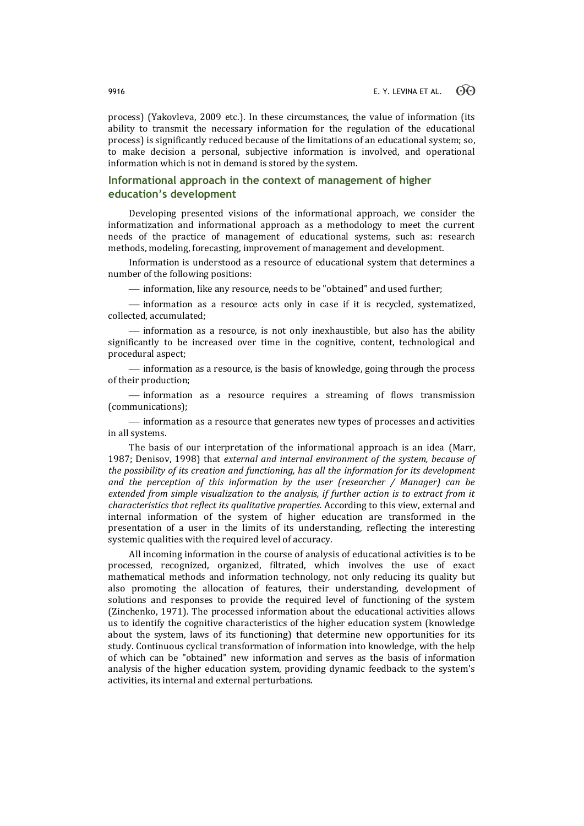process) (Yakovleva, 2009 etc.). In these circumstances, the value of information (its ability to transmit the necessary information for the regulation of the educational process) is significantly reduced because of the limitations of an educational system; so, to make decision a personal, subjective information is involved, and operational information which is not in demand is stored by the system.

# **Informational approach in the context of management of higher education's development**

Developing presented visions of the informational approach, we consider the informatization and informational approach as a methodology to meet the current needs of the practice of management of educational systems, such as: research methods, modeling, forecasting, improvement of management and development.

Information is understood as a resource of educational system that determines a number of the following positions:

 $\frac{1}{1}$  information, like any resource, needs to be "obtained" and used further;

 information as a resource acts only in case if it is recycled, systematized, collected, accumulated;

 information as a resource, is not only inexhaustible, but also has the ability significantly to be increased over time in the cognitive, content, technological and procedural aspect;

 $-$  information as a resource, is the basis of knowledge, going through the process of their production;

- information as a resource requires a streaming of flows transmission (communications);

 $-$  information as a resource that generates new types of processes and activities in all systems.

The basis of our interpretation of the informational approach is an idea (Marr, 1987; Denisov, 1998) that *external and internal environment of the system, because of the possibility of its creation and functioning, has all the information for its development and the perception of this information by the user (researcher / Manager) can be extended from simple visualization to the analysis, if further action is to extract from it characteristics that reflect its qualitative properties.* According to this view, external and internal information of the system of higher education are transformed in the presentation of a user in the limits of its understanding, reflecting the interesting systemic qualities with the required level of accuracy.

All incoming information in the course of analysis of educational activities is to be processed, recognized, organized, filtrated, which involves the use of exact mathematical methods and information technology, not only reducing its quality but also promoting the allocation of features, their understanding, development of solutions and responses to provide the required level of functioning of the system (Zinchenko, 1971). The processed information about the educational activities allows us to identify the cognitive characteristics of the higher education system (knowledge about the system, laws of its functioning) that determine new opportunities for its study. Continuous cyclical transformation of information into knowledge, with the help of which can be "obtained" new information and serves as the basis of information analysis of the higher education system, providing dynamic feedback to the system's activities, its internal and external perturbations.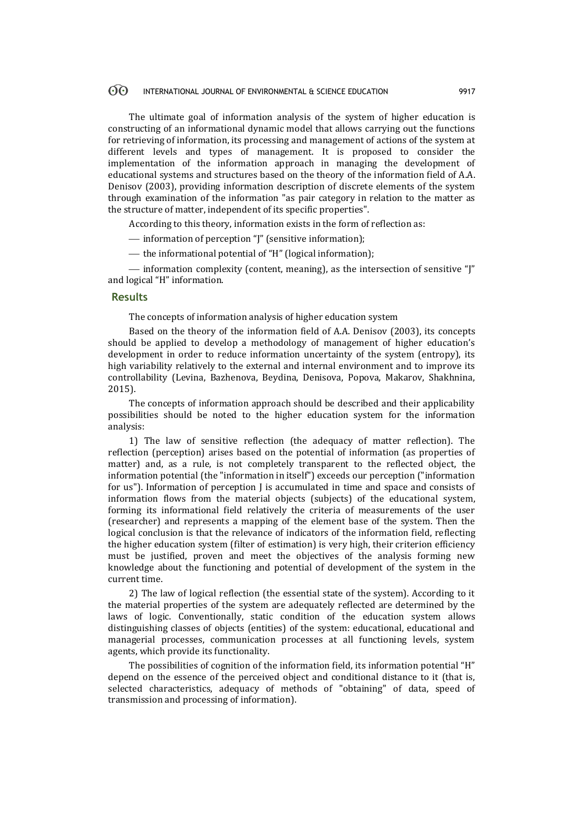#### $\odot$ INTERNATIONAL JOURNAL OF ENVIRONMENTAL & SCIENCE EDUCATION 9917

The ultimate goal of information analysis of the system of higher education is constructing of an informational dynamic model that allows carrying out the functions for retrieving of information, its processing and management of actions of the system at different levels and types of management. It is proposed to consider the implementation of the information approach in managing the development of educational systems and structures based on the theory of the information field of A.A. Denisov (2003), providing information description of discrete elements of the system through examination of the information "as pair category in relation to the matter as the structure of matter, independent of its specific properties".

According to this theory, information exists in the form of reflection as:

information of perception "J" (sensitive information);

 $-$  the informational potential of "H" (logical information):

 $\overline{\phantom{a}}$  information complexity (content, meaning), as the intersection of sensitive " $\overline{\phantom{a}}$ " and logical "H" information.

### **Results**

The concepts of information analysis of higher education system

Based on the theory of the information field of A.A. Denisov (2003), its concepts should be applied to develop a methodology of management of higher education's development in order to reduce information uncertainty of the system (entropy), its high variability relatively to the external and internal environment and to improve its controllability (Levina, Bazhenova, Beydina, Denisova, Popova, Makarov, Shakhnina, 2015).

The concepts of information approach should be described and their applicability possibilities should be noted to the higher education system for the information analysis:

1) The law of sensitive reflection (the adequacy of matter reflection). The reflection (perception) arises based on the potential of information (as properties of matter) and, as a rule, is not completely transparent to the reflected object, the information potential (the "information in itself") exceeds our perception ("information for us"). Information of perception J is accumulated in time and space and consists of information flows from the material objects (subjects) of the educational system, forming its informational field relatively the criteria of measurements of the user (researcher) and represents a mapping of the element base of the system. Then the logical conclusion is that the relevance of indicators of the information field, reflecting the higher education system (filter of estimation) is very high, their criterion efficiency must be justified, proven and meet the objectives of the analysis forming new knowledge about the functioning and potential of development of the system in the current time.

2) The law of logical reflection (the essential state of the system). According to it the material properties of the system are adequately reflected are determined by the laws of logic. Conventionally, static condition of the education system allows distinguishing classes of objects (entities) of the system: educational, educational and managerial processes, communication processes at all functioning levels, system agents, which provide its functionality.

The possibilities of cognition of the information field, its information potential "H" depend on the essence of the perceived object and conditional distance to it (that is, selected characteristics, adequacy of methods of "obtaining" of data, speed of transmission and processing of information).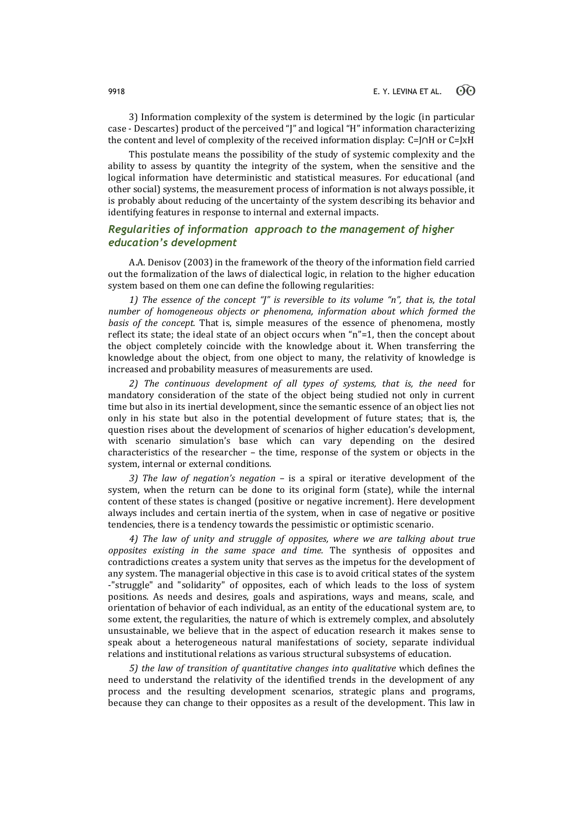3) Information complexity of the system is determined by the logic (in particular case - Descartes) product of the perceived "J" and logical "H" information characterizing the content and level of complexity of the received information display: С=J∩H or С=JхH

This postulate means the possibility of the study of systemic complexity and the ability to assess by quantity the integrity of the system, when the sensitive and the logical information have deterministic and statistical measures. For educational (and other social) systems, the measurement process of information is not always possible, it is probably about reducing of the uncertainty of the system describing its behavior and identifying features in response to internal and external impacts.

# *Regularities of information approach to the management of higher education's development*

A.A. Denisov (2003) in the framework of the theory of the information field carried out the formalization of the laws of dialectical logic, in relation to the higher education system based on them one can define the following regularities:

*1) The essence of the concept "J" is reversible to its volume "n", that is, the total number of homogeneous objects or phenomena, information about which formed the basis of the concept.* That is, simple measures of the essence of phenomena, mostly reflect its state; the ideal state of an object occurs when "n"=1, then the concept about the object completely coincide with the knowledge about it. When transferring the knowledge about the object, from one object to many, the relativity of knowledge is increased and probability measures of measurements are used.

*2) The continuous development of all types of systems, that is, the need* for mandatory consideration of the state of the object being studied not only in current time but also in its inertial development, since the semantic essence of an object lies not only in his state but also in the potential development of future states; that is, the question rises about the development of scenarios of higher education's development, with scenario simulation's base which can vary depending on the desired characteristics of the researcher – the time, response of the system or objects in the system, internal or external conditions.

*3) The law of negation's negation* – is a spiral or iterative development of the system, when the return can be done to its original form (state), while the internal content of these states is changed (positive or negative increment). Here development always includes and certain inertia of the system, when in case of negative or positive tendencies, there is a tendency towards the pessimistic or optimistic scenario.

*4) The law of unity and struggle of opposites, where we are talking about true opposites existing in the same space and time.* The synthesis of opposites and contradictions creates a system unity that serves as the impetus for the development of any system. The managerial objective in this case is to avoid critical states of the system -"struggle" and "solidarity" of opposites, each of which leads to the loss of system positions. As needs and desires, goals and aspirations, ways and means, scale, and orientation of behavior of each individual, as an entity of the educational system are, to some extent, the regularities, the nature of which is extremely complex, and absolutely unsustainable, we believe that in the aspect of education research it makes sense to speak about a heterogeneous natural manifestations of society, separate individual relations and institutional relations as various structural subsystems of education.

*5) the law of transition of quantitative changes into qualitative* which defines the need to understand the relativity of the identified trends in the development of any process and the resulting development scenarios, strategic plans and programs, because they can change to their opposites as a result of the development. This law in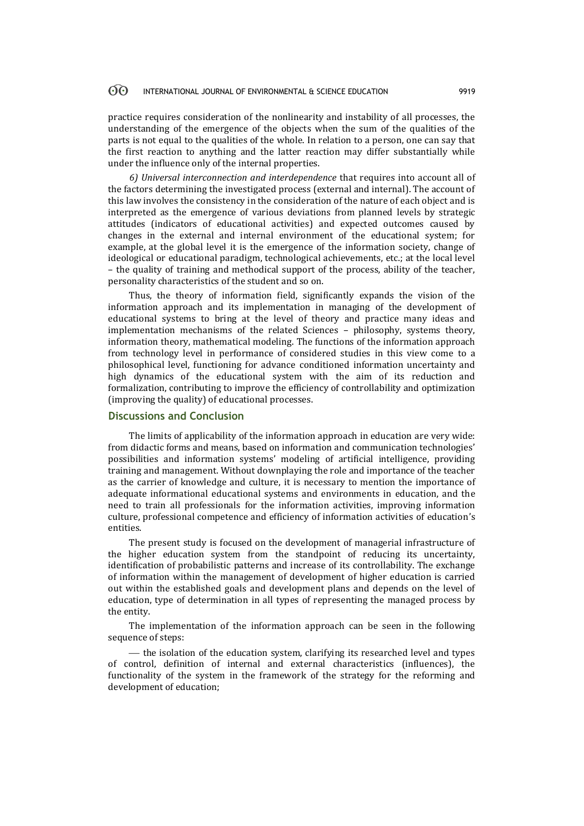### 60 INTERNATIONAL JOURNAL OF ENVIRONMENTAL & SCIENCE EDUCATION 9919

practice requires consideration of the nonlinearity and instability of all processes, the understanding of the emergence of the objects when the sum of the qualities of the parts is not equal to the qualities of the whole. In relation to a person, one can say that the first reaction to anything and the latter reaction may differ substantially while under the influence only of the internal properties.

*6) Universal interconnection and interdependence* that requires into account all of the factors determining the investigated process (external and internal). The account of this law involves the consistency in the consideration of the nature of each object and is interpreted as the emergence of various deviations from planned levels by strategic attitudes (indicators of educational activities) and expected outcomes caused by changes in the external and internal environment of the educational system; for example, at the global level it is the emergence of the information society, change of ideological or educational paradigm, technological achievements, etc.; at the local level – the quality of training and methodical support of the process, ability of the teacher, personality characteristics of the student and so on.

Thus, the theory of information field, significantly expands the vision of the information approach and its implementation in managing of the development of educational systems to bring at the level of theory and practice many ideas and implementation mechanisms of the related Sciences – philosophy, systems theory, information theory, mathematical modeling. The functions of the information approach from technology level in performance of considered studies in this view come to a philosophical level, functioning for advance conditioned information uncertainty and high dynamics of the educational system with the aim of its reduction and formalization, contributing to improve the efficiency of controllability and optimization (improving the quality) of educational processes.

# **Discussions and Conclusion**

The limits of applicability of the information approach in education are very wide: from didactic forms and means, based on information and communication technologies' possibilities and information systems' modeling of artificial intelligence, providing training and management. Without downplaying the role and importance of the teacher as the carrier of knowledge and culture, it is necessary to mention the importance of adequate informational educational systems and environments in education, and the need to train all professionals for the information activities, improving information culture, professional competence and efficiency of information activities of education's entities.

The present study is focused on the development of managerial infrastructure of the higher education system from the standpoint of reducing its uncertainty, identification of probabilistic patterns and increase of its controllability. The exchange of information within the management of development of higher education is carried out within the established goals and development plans and depends on the level of education, type of determination in all types of representing the managed process by the entity.

The implementation of the information approach can be seen in the following sequence of steps:

 $t$  the isolation of the education system, clarifying its researched level and types of control, definition of internal and external characteristics (influences), the functionality of the system in the framework of the strategy for the reforming and development of education;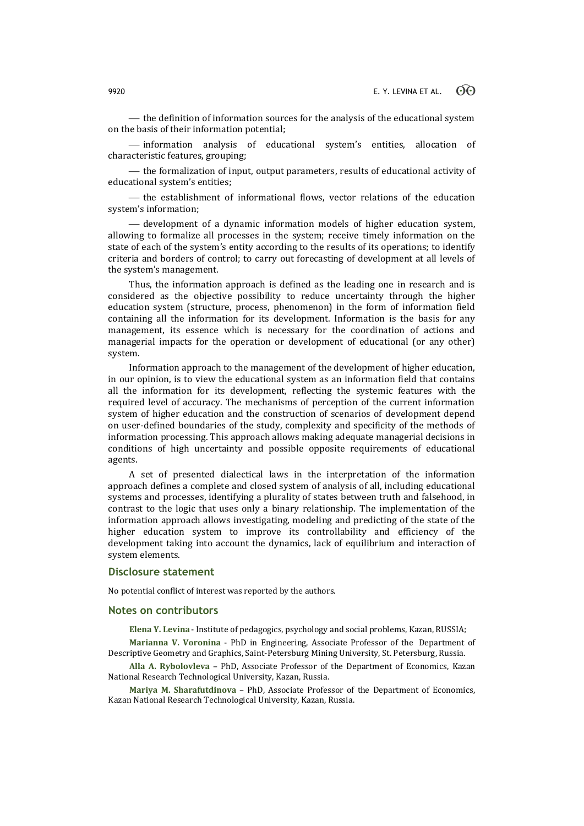$t$  the definition of information sources for the analysis of the educational system on the basis of their information potential;

 information analysis of educational system's entities, allocation of characteristic features, grouping;

 $t$  the formalization of input, output parameters, results of educational activity of educational system's entities;

- the establishment of informational flows, vector relations of the education system's information;

 development of a dynamic information models of higher education system, allowing to formalize all processes in the system; receive timely information on the state of each of the system's entity according to the results of its operations; to identify criteria and borders of control; to carry out forecasting of development at all levels of the system's management.

Thus, the information approach is defined as the leading one in research and is considered as the objective possibility to reduce uncertainty through the higher education system (structure, process, phenomenon) in the form of information field containing all the information for its development. Information is the basis for any management, its essence which is necessary for the coordination of actions and managerial impacts for the operation or development of educational (or any other) system.

Information approach to the management of the development of higher education, in our opinion, is to view the educational system as an information field that contains all the information for its development, reflecting the systemic features with the required level of accuracy. The mechanisms of perception of the current information system of higher education and the construction of scenarios of development depend on user-defined boundaries of the study, complexity and specificity of the methods of information processing. This approach allows making adequate managerial decisions in conditions of high uncertainty and possible opposite requirements of educational agents.

A set of presented dialectical laws in the interpretation of the information approach defines a complete and closed system of analysis of all, including educational systems and processes, identifying a plurality of states between truth and falsehood, in contrast to the logic that uses only a binary relationship. The implementation of the information approach allows investigating, modeling and predicting of the state of the higher education system to improve its controllability and efficiency of the development taking into account the dynamics, lack of equilibrium and interaction of system elements.

### **Disclosure statement**

No potential conflict of interest was reported by the authors.

### **Notes on contributors**

**Elena Y. Levina** - Institute of pedagogics, psychology and social problems, Kazan, RUSSIA;

**Marianna V. Voronina** - PhD in Engineering, Associate Professor of the Department of Descriptive Geometry and Graphics, Saint-Petersburg Mining University, St. Petersburg, Russia.

**Alla A. Rybolovleva** – PhD, Associate Professor of the Department of Economics, Kazan National Research Technological University, Kazan, Russia.

**Mariya M. Sharafutdinova** – PhD, Associate Professor of the Department of Economics, Kazan National Research Technological University, Kazan, Russia.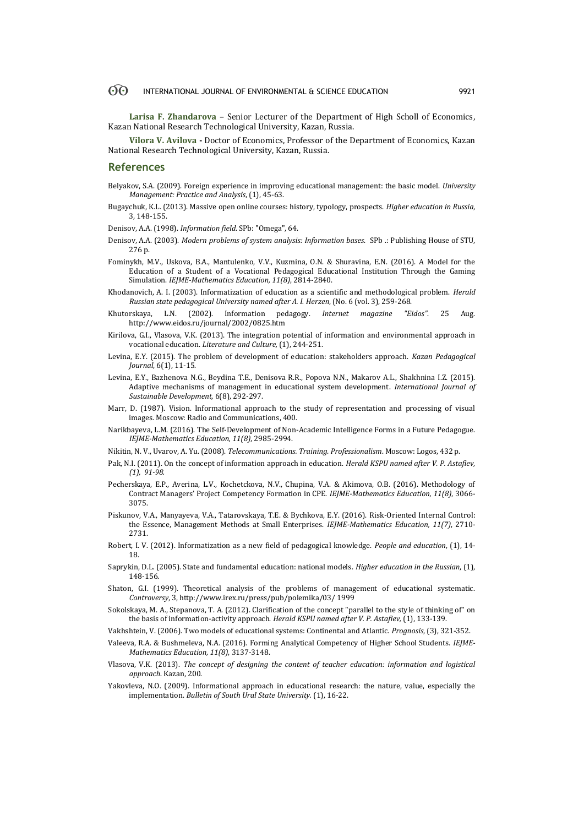#### 60 INTERNATIONAL JOURNAL OF ENVIRONMENTAL & SCIENCE EDUCATION 9921

**Larisa F. Zhandarova** – Senior Lecturer of the Department of High Scholl of Economics, Kazan National Research Technological University, Kazan, Russia.

**Vilora V. Avilova -** Doctor of Economics, Professor of the Department of Economics, Kazan National Research Technological University, Kazan, Russia.

### **References**

- Belyakov, S.A. (2009). Foreign experience in improving educational management: the basic model. *University Management: Practice and Analysis*, (1), 45-63.
- Bugaychuk, K.L. (2013). Massive open online courses: history, typology, prospects. *Higher education in Russia*, 3, 148-155.
- Denisov, A.A. (1998). *Information field*. SPb: "Omega", 64.
- Denisov, A.A. (2003). *Modern problems of system analysis: Information bases*. SPb .: Publishing House of STU, 276 p.
- Fominykh, M.V., Uskova, B.A., Mantulenko, V.V., Kuzmina, O.N. & Shuravina, E.N. (2016). A Model for the Education of a Student of a Vocational Pedagogical Educational Institution Through the Gaming Simulation. *IEJME-Mathematics Education, 11(8)*, 2814-2840.
- Khodanovich, A. I. (2003). Informatization of education as a scientific and methodological problem. *Herald Russian state pedagogical University named after A. I. Herzen*, (No. 6 (vol. 3), 259-268.
- Khutorskaya, L.N. (2002). Information pedagogy. *Internet magazine "Eidos"*. 25 Aug. http://www.eidos.ru/journal/2002/0825.htm
- Kirilova, G.I., Vlasova, V.K. (2013). The integration potential of information and environmental approach in vocational education. *Literature and Culture,* (1), 244-251.
- Levina, E.Y. (2015). The problem of development of education: stakeholders approach. *Kazan Pedagogical Journal*, 6(1), 11-15.
- Levina, E.Y., Bazhenova N.G., Beydina T.E., Denisova R.R., Popova N.N., Makarov A.L., Shakhnina I.Z. (2015). [Adaptive mechanisms of management in educational system development.](http://elibrary.ru/item.asp?id=23874657) *[International Journal of](http://elibrary.ru/contents.asp?issueid=1402941)  [Sustainable Development](http://elibrary.ru/contents.asp?issueid=1402941)*, 6(8), 292-297.
- Marr, D. (1987). Vision. Informational approach to the study of representation and processing of visual images. Moscow: Radio and Communications, 400.
- Narikbayeva, L.M. (2016). The Self-Development of Non-Academic Intelligence Forms in a Future Pedagogue. *IEJME-Mathematics Education, 11(8)*, 2985-2994.
- Nikitin, N. V., Uvarov, A. Yu. (2008). *Telecommunications. Training. Professionalism*. Moscow: Logos, 432 p.
- Pak, N.I. (2011). On the concept of information approach in education. *Herald KSPU named after V. P. Astafiev, (1), 91-98.*
- Pecherskaya, E.P., Averina, L.V., Kochetckova, N.V., Chupina, V.A. & Akimova, O.B. (2016). Methodology of Contract Managers' Project Competency Formation in CPE. *IEJME-Mathematics Education, 11(8)*, 3066- 3075.
- Piskunov, V.A., Manyayeva, V.A., Tatarovskaya, T.E. & Bychkova, E.Y. (2016). Risk-Oriented Internal Control: the Essence, Management Methods at Small Enterprises. *IEJME-Mathematics Education, 11(7)*, 2710- 2731.
- Robert, I. V. (2012). Informatization as a new field of pedagogical knowledge. *People and education*, (1), 14- 18.
- Saprykin, D.L. (2005). State and fundamental education: national models. *Higher education in the Russian*, (1), 148-156.
- Shaton, G.I. (1999). Theoretical analysis of the problems of management of educational systematic. *Сontroversy*, 3, http://www.irex.ru/press/pub/polemika/03/ 1999
- Sokolskaya, M. A., Stepanova, T. A. (2012). Clarification of the concept "parallel to the style of thinking of" on the basis of information-activity approach. *Herald KSPU named after V. P. Astafiev,* (1), 133-139.
- Vakhshtein, V. (2006). Two models of educational systems: Continental and Atlantic. *Prognosis*, (3), 321-352.
- Valeeva, R.A. & Bushmeleva, N.A. (2016). Forming Analytical Competency of Higher School Students. *IEJME-Mathematics Education, 11(8)*, 3137-3148.
- Vlasova, V.K. (2013). *The concept of designing the content of teacher education: information and logistical approach*. Kazan, 200.
- Yakovleva, N.O. (2009). Informational approach in educational research: the nature, value, especially the implementation. *Bulletin of South Ural State University.* (1), 16-22.